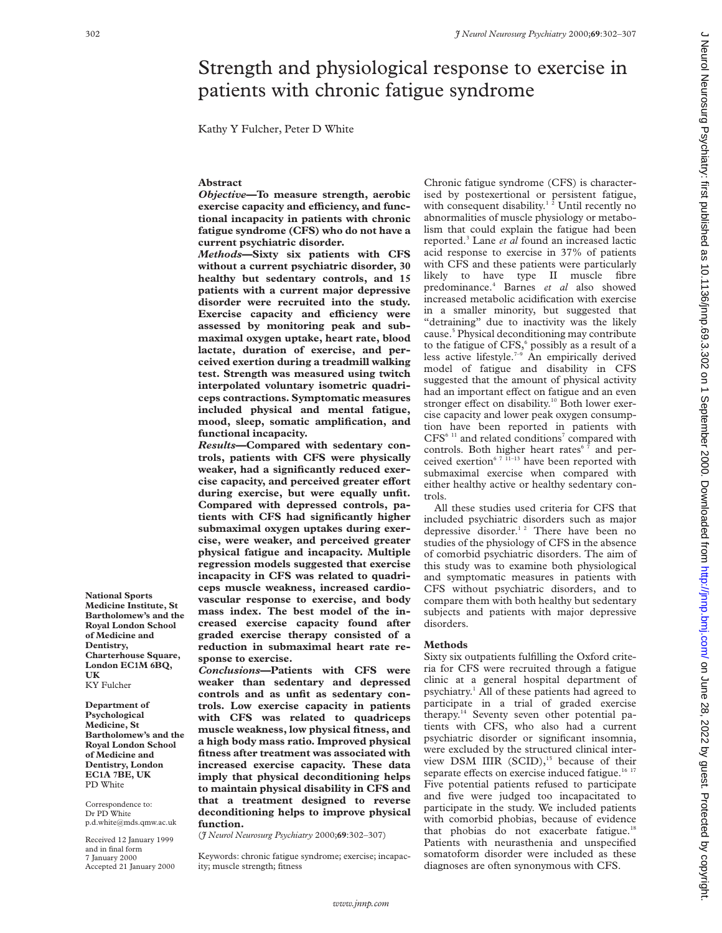# Strength and physiological response to exercise in patients with chronic fatigue syndrome

Kathy Y Fulcher, Peter D White

# **Abstract**

*Objective***—To measure strength, aerobic** exercise capacity and efficiency, and func**tional incapacity in patients with chronic fatigue syndrome (CFS) who do not have a current psychiatric disorder.**

*Methods***—Sixty six patients with CFS without a current psychiatric disorder, 30 healthy but sedentary controls, and 15 patients with a current major depressive disorder were recruited into the study. Exercise capacity and efficiency were assessed by monitoring peak and submaximal oxygen uptake, heart rate, blood lactate, duration of exercise, and perceived exertion during a treadmill walking test. Strength was measured using twitch interpolated voluntary isometric quadriceps contractions. Symptomatic measures included physical and mental fatigue, mood, sleep, somatic amplification, and functional incapacity.**

*Results***—Compared with sedentary controls, patients with CFS were physically weaker, had a significantly reduced exer** $c$ **ise capacity, and perceived greater effort during exercise, but were equally unfit. Compared with depressed controls, patients with CFS had significantly higher submaximal oxygen uptakes during exercise, were weaker, and perceived greater physical fatigue and incapacity. Multiple regression models suggested that exercise incapacity in CFS was related to quadriceps muscle weakness, increased cardiovascular response to exercise, and body mass index. The best model of the increased exercise capacity found after graded exercise therapy consisted of a reduction in submaximal heart rate response to exercise.**

*Conclusions***—Patients with CFS were weaker than sedentary and depressed controls and as unfit as sedentary controls. Low exercise capacity in patients with CFS was related to quadriceps muscle weakness, low physical fitness, and a high body mass ratio. Improved physical fitness after treatment was associated with increased exercise capacity. These data imply that physical deconditioning helps to maintain physical disability in CFS and that a treatment designed to reverse deconditioning helps to improve physical function.**

(*J Neurol Neurosurg Psychiatry* 2000;**69**:302–307)

Keywords: chronic fatigue syndrome; exercise; incapacity; muscle strength; fitness

Chronic fatigue syndrome (CFS) is characterised by postexertional or persistent fatigue, with consequent disability.<sup>12</sup> Until recently no abnormalities of muscle physiology or metabolism that could explain the fatigue had been reported.3 Lane *et al* found an increased lactic acid response to exercise in 37% of patients with CFS and these patients were particularly likely to have type II muscle fibre predominance.4 Barnes *et al* also showed increased metabolic acidification with exercise in a smaller minority, but suggested that "detraining" due to inactivity was the likely cause.5 Physical deconditioning may contribute to the fatigue of  $CFS$ , possibly as a result of a less active lifestyle.<sup>7-9</sup> An empirically derived model of fatigue and disability in CFS suggested that the amount of physical activity had an important effect on fatigue and an even stronger effect on disability.<sup>10</sup> Both lower exercise capacity and lower peak oxygen consumption have been reported in patients with  $CFS<sup>6 11</sup>$  and related conditions<sup>7</sup> compared with controls. Both higher heart rates $67$  and perceived exertion<sup>6 7 11-13</sup> have been reported with submaximal exercise when compared with either healthy active or healthy sedentary controls.

All these studies used criteria for CFS that included psychiatric disorders such as major depressive disorder.<sup>12</sup> There have been no studies of the physiology of CFS in the absence of comorbid psychiatric disorders. The aim of this study was to examine both physiological and symptomatic measures in patients with CFS without psychiatric disorders, and to compare them with both healthy but sedentary subjects and patients with major depressive disorders.

### **Methods**

Sixty six outpatients fulfilling the Oxford criteria for CFS were recruited through a fatigue clinic at a general hospital department of psychiatry.1 All of these patients had agreed to participate in a trial of graded exercise therapy.<sup>14</sup> Seventy seven other potential patients with CFS, who also had a current psychiatric disorder or significant insomnia, were excluded by the structured clinical interview DSM IIIR  $(SCID)^{15}$  because of their separate effects on exercise induced fatigue.<sup>16 17</sup> Five potential patients refused to participate and five were judged too incapacitated to participate in the study. We included patients with comorbid phobias, because of evidence that phobias do not exacerbate fatigue.<sup>18</sup> Patients with neurasthenia and unspecified somatoform disorder were included as these diagnoses are often synonymous with CFS.

**National Sports Medicine Institute, St Bartholomew's and the Royal London School of Medicine and Dentistry, Charterhouse Square, London EC1M 6BQ, UK** KY Fulcher

**Department of Psychological Medicine, St Bartholomew's and the Royal London School of Medicine and Dentistry, London EC1A 7BE, UK** PD White

Correspondence to: Dr PD White p.d.white@mds.qmw.ac.uk

Received 12 January 1999 and in final form 7 January 2000 Accepted 21 January 2000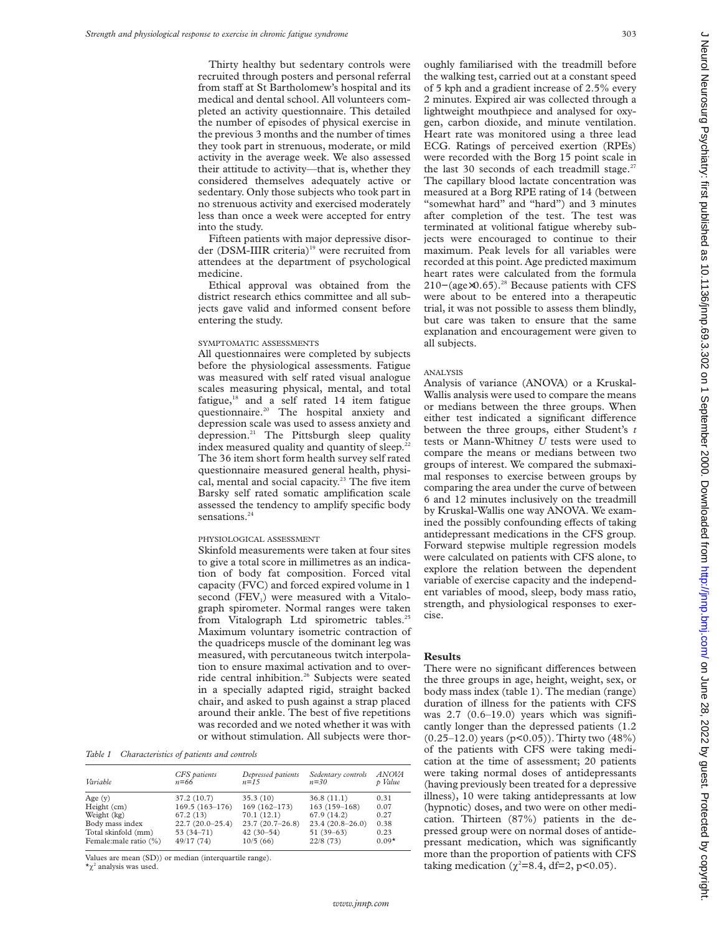Thirty healthy but sedentary controls were recruited through posters and personal referral from staff at St Bartholomew's hospital and its medical and dental school. All volunteers completed an activity questionnaire. This detailed the number of episodes of physical exercise in the previous 3 months and the number of times they took part in strenuous, moderate, or mild activity in the average week. We also assessed their attitude to activity—that is, whether they considered themselves adequately active or sedentary. Only those subjects who took part in no strenuous activity and exercised moderately less than once a week were accepted for entry into the study.

Fifteen patients with major depressive disorder (DSM-IIIR criteria)<sup>19</sup> were recruited from attendees at the department of psychological medicine.

Ethical approval was obtained from the district research ethics committee and all subjects gave valid and informed consent before entering the study.

#### SYMPTOMATIC ASSESSMENTS

All questionnaires were completed by subjects before the physiological assessments. Fatigue was measured with self rated visual analogue scales measuring physical, mental, and total fatigue,<sup>18</sup> and a self rated 14 item fatigue questionnaire.20 The hospital anxiety and depression scale was used to assess anxiety and depression.<sup>21</sup> The Pittsburgh sleep quality index measured quality and quantity of sleep.<sup>2</sup> The 36 item short form health survey self rated questionnaire measured general health, physical, mental and social capacity.<sup>23</sup> The five item Barsky self rated somatic amplification scale assessed the tendency to amplify specific body sensations.<sup>24</sup>

#### PHYSIOLOGICAL ASSESSMENT

Skinfold measurements were taken at four sites to give a total score in millimetres as an indication of body fat composition. Forced vital capacity (FVC) and forced expired volume in 1 second  $(FEV<sub>1</sub>)$  were measured with a Vitalograph spirometer. Normal ranges were taken from Vitalograph Ltd spirometric tables.<sup>25</sup> Maximum voluntary isometric contraction of the quadriceps muscle of the dominant leg was measured, with percutaneous twitch interpolation to ensure maximal activation and to override central inhibition.<sup>26</sup> Subjects were seated in a specially adapted rigid, straight backed chair, and asked to push against a strap placed around their ankle. The best of five repetitions was recorded and we noted whether it was with or without stimulation. All subjects were thor-

*Table 1 Characteristics of patients and controls*

| Variable              | CFS patients       | Depressed patients | Sedentary controls | ANOVA   |
|-----------------------|--------------------|--------------------|--------------------|---------|
|                       | $n = 66$           | $n=1.5$            | $n = 30$           | p Value |
| Age $(v)$             | 37.2 (10.7)        | 35.3(10)           | 36.8(11.1)         | 0.31    |
| Height (cm)           | $169.5(163 - 176)$ | $169(162 - 173)$   | 163 (159-168)      | 0.07    |
| Weight (kg)           | 67.2(13)           | 70.1(12.1)         | 67.9 (14.2)        | 0.27    |
| Body mass index       | $22.7(20.0-25.4)$  | $23.7(20.7-26.8)$  | $23.4(20.8-26.0)$  | 0.38    |
| Total skinfold (mm)   | $53(34 - 71)$      | $42(30-54)$        | $51(39-63)$        | 0.23    |
| Female:male ratio (%) | 49/17 (74)         | 10/5(66)           | 22/8(73)           | $0.09*$ |

Values are mean (SD)) or median (interquartile range).

 $\star_{\chi^2}$  analysis was used.

oughly familiarised with the treadmill before the walking test, carried out at a constant speed of 5 kph and a gradient increase of 2.5% every 2 minutes. Expired air was collected through a lightweight mouthpiece and analysed for oxygen, carbon dioxide, and minute ventilation. Heart rate was monitored using a three lead ECG. Ratings of perceived exertion (RPEs) were recorded with the Borg 15 point scale in the last 30 seconds of each treadmill stage.<sup>27</sup> The capillary blood lactate concentration was measured at a Borg RPE rating of 14 (between "somewhat hard" and "hard") and 3 minutes after completion of the test. The test was terminated at volitional fatigue whereby subjects were encouraged to continue to their maximum. Peak levels for all variables were recorded at this point. Age predicted maximum heart rates were calculated from the formula 210-(age×0.65).<sup>28</sup> Because patients with CFS were about to be entered into a therapeutic trial, it was not possible to assess them blindly, but care was taken to ensure that the same explanation and encouragement were given to all subjects.

### ANALYSIS

Analysis of variance (ANOVA) or a Kruskal-Wallis analysis were used to compare the means or medians between the three groups. When either test indicated a significant difference between the three groups, either Student's *t* tests or Mann-Whitney *U* tests were used to compare the means or medians between two groups of interest. We compared the submaximal responses to exercise between groups by comparing the area under the curve of between 6 and 12 minutes inclusively on the treadmill by Kruskal-Wallis one way ANOVA. We examined the possibly confounding effects of taking antidepressant medications in the CFS group. Forward stepwise multiple regression models were calculated on patients with CFS alone, to explore the relation between the dependent variable of exercise capacity and the independent variables of mood, sleep, body mass ratio, strength, and physiological responses to exercise.

## **Results**

There were no significant differences between the three groups in age, height, weight, sex, or body mass index (table 1). The median (range) duration of illness for the patients with CFS was  $2.7$   $(0.6-19.0)$  years which was significantly longer than the depressed patients (1.2 (0.25–12.0) years (p<0.05)). Thirty two (48%) of the patients with CFS were taking medication at the time of assessment; 20 patients were taking normal doses of antidepressants (having previously been treated for a depressive illness), 10 were taking antidepressants at low (hypnotic) doses, and two were on other medication. Thirteen (87%) patients in the depressed group were on normal doses of antidepressant medication, which was significantly more than the proportion of patients with CFS taking medication  $(\chi^2=8.4, df=2, p<0.05)$ .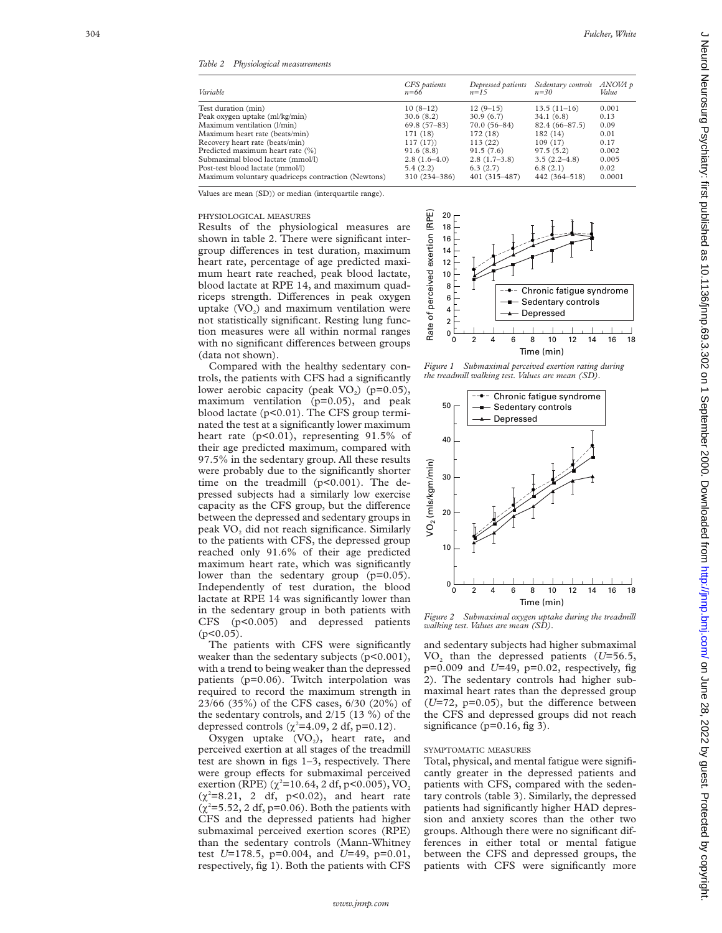| Table 2<br>Physiological measurements |  |
|---------------------------------------|--|
|---------------------------------------|--|

| Variable                                           | CFS patients<br>$n = 66$ | Depressed patients<br>$n = 1.5$ | Sedentary controls<br>$n=30$ | ANOVA p<br>Value |
|----------------------------------------------------|--------------------------|---------------------------------|------------------------------|------------------|
| Test duration (min)                                | $10(8-12)$               | $12(9-15)$                      | $13.5(11-16)$                | 0.001            |
| Peak oxygen uptake (ml/kg/min)                     | 30.6(8.2)                | 30.9(6.7)                       | 34.1(6.8)                    | 0.13             |
| Maximum ventilation (l/min)                        | $69.8(57-83)$            | $70.0(56 - 84)$                 | $82.4(66 - 87.5)$            | 0.09             |
| Maximum heart rate (beats/min)                     | 171 (18)                 | 172(18)                         | 182(14)                      | 0.01             |
| Recovery heart rate (beats/min)                    | 117(17)                  | 113(22)                         | 109(17)                      | 0.17             |
| Predicted maximum heart rate (%)                   | 91.6(8.8)                | 91.5(7.6)                       | 97.5(5.2)                    | 0.002            |
| Submaximal blood lactate (mmol/l)                  | $2.8(1.6-4.0)$           | $2.8(1.7-3.8)$                  | $3.5(2.2 - 4.8)$             | 0.005            |
| Post-test blood lactate (mmol/l)                   | 5.4(2.2)                 | 6.3(2.7)                        | 6.8(2.1)                     | 0.02             |
| Maximum voluntary quadriceps contraction (Newtons) | 310 (234–386)            | $401(315 - 487)$                | 442 (364–518)                | 0.0001           |
|                                                    |                          |                                 |                              |                  |

Values are mean (SD)) or median (interquartile range).

## PHYSIOLOGICAL MEASURES

Results of the physiological measures are shown in table 2. There were significant intergroup differences in test duration, maximum heart rate, percentage of age predicted maximum heart rate reached, peak blood lactate, blood lactate at RPE 14, and maximum quadriceps strength. Differences in peak oxygen uptake (VO 2) and maximum ventilation were not statistically significant. Resting lung function measures were all within normal ranges with no significant differences between groups (data not shown).

Compared with the healthy sedentary controls, the patients with CFS had a significantly lower aerobic capacity (peak  $VO<sub>2</sub>$ ) (p=0.05), maximum ventilation (p=0.05), and peak blood lactate (p<0.01). The CFS group terminated the test at a significantly lower maximum heart rate (p<0.01), representing 91.5% of their age predicted maximum, compared with 97.5% in the sedentary group. All these results were probably due to the significantly shorter time on the treadmill (p<0.001). The depressed subjects had a similarly low exercise capacity as the CFS group, but the difference between the depressed and sedentary groups in peak VO <sup>2</sup> did not reach significance. Similarly to the patients with CFS, the depressed group reached only 91.6% of their age predicted maximum heart rate, which was significantly lower than the sedentary group (p=0.05). Independently of test duration, the blood lactate at RPE 14 was significantly lower than in the sedentary group in both patients with CFS (p<0.005) and depressed patients  $(p<0.05)$ .

The patients with CFS were significantly weaker than the sedentary subjects (p<0.001), with a trend to being weaker than the depressed patients (p=0.06). Twitch interpolation was required to record the maximum strength in 23/66 (35%) of the CFS cases, 6/30 (20%) of the sedentary controls, and 2/15 (13 %) of the depressed controls  $(\chi^2=4.09, 2 \text{ df}, p=0.12)$ .

Oxygen uptake (VO 2), heart rate, and perceived exertion at all stages of the treadmill test are shown in figs 1–3, respectively. There were group effects for submaximal perceived exertion (RPE)  $(\chi^2=10.64, 2 \text{ df}, p<0.005)$ , VO<sub>2</sub>  $(\chi^2=8.21, 2 \text{ df}, \text{ p}<0.02)$ , and heart rate  $(\chi^2 = 5.52, 2 \text{ df}, p = 0.06)$ . Both the patients with CFS and the depressed patients had higher submaximal perceived exertion scores (RPE) than the sedentary controls (Mann-Whitney test *U*=178.5, p=0.004, and *U*=49, p=0.01, respectively, fig 1). Both the patients with CFS



*Figure 1 Submaximal perceived exertion rating during the treadmill walking test. Values are mean (SD).*





and sedentary subjects had higher submaximal VO <sup>2</sup> than the depressed patients ( *U*=56.5, p=0.009 and *U*=49, p=0.02, respectively, fig 2). The sedentary controls had higher submaximal heart rates than the depressed group  $(U=72, p=0.05)$ , but the difference between the CFS and depressed groups did not reach significance  $(p=0.16, \text{fig } 3)$ .

# SYMPTOMATIC MEASURES

Total, physical, and mental fatigue were significantly greater in the depressed patients and patients with CFS, compared with the sedentary controls (table 3). Similarly, the depressed patients had significantly higher HAD depression and anxiety scores than the other two groups. Although there were no significant differences in either total or mental fatigue between the CFS and depressed groups, the patients with CFS were significantly more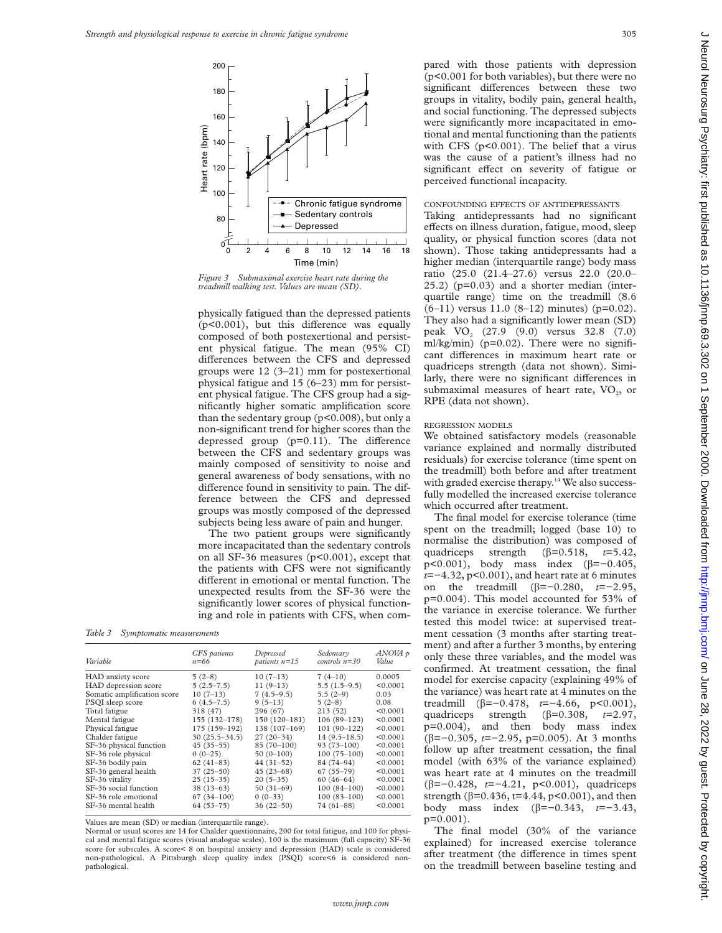

*Figure 3 Submaximal exercise heart rate during the treadmill walking test. Values are mean (SD).*

physically fatigued than the depressed patients  $(p<0.001)$ , but this difference was equally composed of both postexertional and persistent physical fatigue. The mean (95% CI) differences between the CFS and depressed groups were 12 (3–21) mm for postexertional physical fatigue and 15 (6–23) mm for persistent physical fatigue. The CFS group had a significantly higher somatic amplification score than the sedentary group  $(p<0.008)$ , but only a non-significant trend for higher scores than the depressed group  $(p=0.11)$ . The difference between the CFS and sedentary groups was mainly composed of sensitivity to noise and general awareness of body sensations, with no difference found in sensitivity to pain. The difference between the CFS and depressed groups was mostly composed of the depressed subjects being less aware of pain and hunger.

The two patient groups were significantly more incapacitated than the sedentary controls on all SF-36 measures (p<0.001), except that the patients with CFS were not significantly different in emotional or mental function. The unexpected results from the SF-36 were the significantly lower scores of physical functioning and role in patients with CFS, when com-

*Table 3 Symptomatic measurements*

| Variable                    | CFS patients<br>$n = 66$ | Depressed<br>patients $n=15$ | Sedentary<br>controls $n=30$ | ANOVA p<br>Value |
|-----------------------------|--------------------------|------------------------------|------------------------------|------------------|
| HAD anxiety score           | $5(2-8)$                 | $10(7-13)$                   | $7(4-10)$                    | 0.0005           |
| HAD depression score        | $5(2.5-7.5)$             | $11(9-13)$                   | $5.5(1.5-9.5)$               | < 0.0001         |
| Somatic amplification score | $10(7-13)$               | $7(4.5-9.5)$                 | $5.5(2-9)$                   | 0.03             |
| PSOI sleep score            | $6(4.5-7.5)$             | $9(5-13)$                    | $5(2-8)$                     | 0.08             |
| Total fatigue               | 318 (47)                 | 296 (67)                     | 213(52)                      | < 0.0001         |
| Mental fatigue              | $155(132 - 178)$         | $150(120-181)$               | $106(89-123)$                | < 0.0001         |
| Physical fatigue            | 175 (159-192)            | $138(107-169)$               | $101(90-122)$                | < 0.0001         |
| Chalder fatigue             | $30(25.5-34.5)$          | $27(20-34)$                  | $14(9.5-18.5)$               | < 0.0001         |
| SF-36 physical function     | $45(35-55)$              | $85(70-100)$                 | $93(73 - 100)$               | < 0.0001         |
| SF-36 role physical         | $0(0-25)$                | $50(0-100)$                  | $100(75-100)$                | < 0.0001         |
| SF-36 bodily pain           | $62(41-83)$              | $44(31-52)$                  | 84 (74–94)                   | < 0.0001         |
| SF-36 general health        | $37(25 - 50)$            | $45(23-68)$                  | $67(55-79)$                  | < 0.0001         |
| SF-36 vitality              | $25(15-35)$              | $20(5-35)$                   | $60(46-64)$                  | < 0.0001         |
| SF-36 social function       | $38(13-63)$              | $50(31-69)$                  | $100(84-100)$                | < 0.0001         |
| SF-36 role emotional        | $67(34-100)$             | $0(0-33)$                    | $100(83-100)$                | < 0.0001         |
| SF-36 mental health         | $64(53 - 75)$            | $36(22 - 50)$                | $74(61-88)$                  | < 0.0001         |
|                             |                          |                              |                              |                  |

Values are mean (SD) or median (interquartile range).

Normal or usual scores are 14 for Chalder questionnaire, 200 for total fatigue, and 100 for physical and mental fatigue scores (visual analogue scales). 100 is the maximum (full capacity) SF-36 score for subscales. A score< 8 on hospital anxiety and depression (HAD) scale is considered non-pathological. A Pittsburgh sleep quality index (PSQI) score<6 is considered nonpathological.

pared with those patients with depression (p<0.001 for both variables), but there were no significant differences between these two groups in vitality, bodily pain, general health, and social functioning. The depressed subjects were significantly more incapacitated in emotional and mental functioning than the patients with CFS (p<0.001). The belief that a virus was the cause of a patient's illness had no significant effect on severity of fatigue or perceived functional incapacity.

## CONFOUNDING EFFECTS OF ANTIDEPRESSANTS

Taking antidepressants had no significant effects on illness duration, fatigue, mood, sleep quality, or physical function scores (data not shown). Those taking antidepressants had a higher median (interquartile range) body mass ratio (25.0 (21.4–27.6) versus 22.0 (20.0– 25.2) (p=0.03) and a shorter median (interquartile range) time on the treadmill (8.6  $(6-11)$  versus 11.0  $(8-12)$  minutes)  $(p=0.02)$ . They also had a significantly lower mean (SD) peak VO<sub>2</sub> (27.9 (9.0) versus 32.8 (7.0) ml/kg/min) (p=0.02). There were no significant differences in maximum heart rate or quadriceps strength (data not shown). Similarly, there were no significant differences in submaximal measures of heart rate,  $VO<sub>2</sub>$ , or RPE (data not shown).

## REGRESSION MODELS

We obtained satisfactory models (reasonable variance explained and normally distributed residuals) for exercise tolerance (time spent on the treadmill) both before and after treatment with graded exercise therapy.<sup>14</sup> We also successfully modelled the increased exercise tolerance which occurred after treatment.

The final model for exercise tolerance (time spent on the treadmill; logged (base 10) to normalise the distribution) was composed of quadriceps strength  $(\beta=0.518, t=5.42,$ p<0.001), body mass index (â=−0.405, *t*=−4.32, p<0.001), and heart rate at 6 minutes on the treadmill (â=−0.280, *t*=−2.95, p=0.004). This model accounted for 53% of the variance in exercise tolerance. We further tested this model twice: at supervised treatment cessation (3 months after starting treatment) and after a further 3 months, by entering only these three variables, and the model was confirmed. At treatment cessation, the final model for exercise capacity (explaining 49% of the variance) was heart rate at 4 minutes on the treadmill ( $\beta = -0.478$ ,  $t = -4.66$ , p<0.001),<br>quadriceps strength ( $\beta = 0.308$ ,  $t = 2.97$ , quadriceps strength ( $\beta$ =0.308, *t*=2.97, p=0.004), and then body mass index (â=−0.305, *t*=−2.95, p=0.005). At 3 months follow up after treatment cessation, the final model (with 63% of the variance explained) was heart rate at 4 minutes on the treadmill (â=−0.428, *t*=−4.21, p<0.001), quadriceps strength ( $\beta$ =0.436, t=4.44, p<0.001), and then body mass index (â=−0.343, *t*=−3.43, p=0.001).

The final model (30% of the variance explained) for increased exercise tolerance after treatment (the difference in times spent on the treadmill between baseline testing and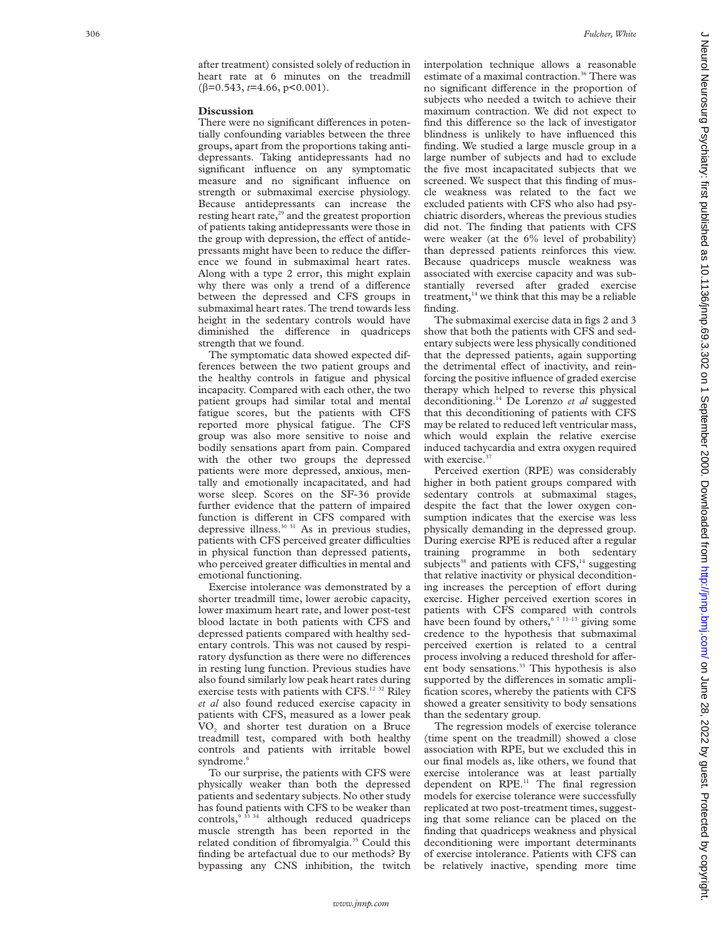after treatment) consisted solely of reduction in heart rate at 6 minutes on the treadmill (â=0.543, *t*=4.66, p<0.001).

# **Discussion**

There were no significant differences in potentially confounding variables between the three groups, apart from the proportions taking antidepressants. Taking antidepressants had no significant influence on any symptomatic measure and no significant influence on strength or submaximal exercise physiology. Because antidepressants can increase the resting heart rate, $29$  and the greatest proportion of patients taking antidepressants were those in the group with depression, the effect of antidepressants might have been to reduce the difference we found in submaximal heart rates. Along with a type 2 error, this might explain why there was only a trend of a difference between the depressed and CFS groups in submaximal heart rates. The trend towards less height in the sedentary controls would have diminished the difference in quadriceps strength that we found.

The symptomatic data showed expected differences between the two patient groups and the healthy controls in fatigue and physical incapacity. Compared with each other, the two patient groups had similar total and mental fatigue scores, but the patients with CFS reported more physical fatigue. The CFS group was also more sensitive to noise and bodily sensations apart from pain. Compared with the other two groups the depressed patients were more depressed, anxious, mentally and emotionally incapacitated, and had worse sleep. Scores on the SF-36 provide further evidence that the pattern of impaired function is different in CFS compared with depressive illness.<sup>30 31</sup> As in previous studies, patients with CFS perceived greater difficulties in physical function than depressed patients, who perceived greater difficulties in mental and emotional functioning.

Exercise intolerance was demonstrated by a shorter treadmill time, lower aerobic capacity, lower maximum heart rate, and lower post-test blood lactate in both patients with CFS and depressed patients compared with healthy sedentary controls. This was not caused by respiratory dysfunction as there were no differences in resting lung function. Previous studies have also found similarly low peak heart rates during exercise tests with patients with CFS.12 32 Riley *et al* also found reduced exercise capacity in patients with CFS, measured as a lower peak VO <sup>2</sup> and shorter test duration on a Bruce treadmill test, compared with both healthy controls and patients with irritable bowel syndrome. 6

To our surprise, the patients with CFS were physically weaker than both the depressed patients and sedentary subjects. No other study has found patients with CFS to be weaker than controls,  $9^{33}$  34 although reduced quadriceps muscle strength has been reported in the related condition of fibromyalgia.<sup>35</sup> Could this finding be artefactual due to our methods? By bypassing any CNS inhibition, the twitch

interpolation technique allows a reasonable estimate of a maximal contraction.<sup>36</sup> There was no significant difference in the proportion of subjects who needed a twitch to achieve their maximum contraction. We did not expect to find this difference so the lack of investigator blindness is unlikely to have influenced this finding. We studied a large muscle group in a large number of subjects and had to exclude the five most incapacitated subjects that we screened. We suspect that this finding of muscle weakness was related to the fact we excluded patients with CFS who also had psychiatric disorders, whereas the previous studies did not. The finding that patients with CFS were weaker (at the 6% level of probability) than depressed patients reinforces this view. Because quadriceps muscle weakness was associated with exercise capacity and was substantially reversed after graded exercise treatment,<sup>14</sup> we think that this may be a reliable finding.

The submaximal exercise data in figs 2 and 3 show that both the patients with CFS and sedentary subjects were less physically conditioned that the depressed patients, again supporting the detrimental effect of inactivity, and reinforcing the positive influence of graded exercise therapy which helped to reverse this physical deconditioning.14 De Lorenzo *et al* suggested that this deconditioning of patients with CFS may be related to reduced left ventricular mass, which would explain the relative exercise induced tachycardia and extra oxygen required with exercise.<sup>37</sup>

Perceived exertion (RPE) was considerably higher in both patient groups compared with sedentary controls at submaximal stages, despite the fact that the lower oxygen consumption indicates that the exercise was less physically demanding in the depressed group. During exercise RPE is reduced after a regular training programme in both sedentary subjects<sup>38</sup> and patients with  $CFS$ ,<sup>14</sup> suggesting that relative inactivity or physical deconditioning increases the perception of effort during exercise. Higher perceived exertion scores in patients with CFS compared with controls have been found by others,  $67 \frac{11-13}{1}$  giving some credence to the hypothesis that submaximal perceived exertion is related to a central process involving a reduced threshold for afferent body sensations.<sup>33</sup> This hypothesis is also supported by the differences in somatic amplification scores, whereby the patients with CFS showed a greater sensitivity to body sensations than the sedentary group.

The regression models of exercise tolerance (time spent on the treadmill) showed a close association with RPE, but we excluded this in our final models as, like others, we found that exercise intolerance was at least partially dependent on RPE.<sup>11</sup> The final regression models for exercise tolerance were successfully replicated at two post-treatment times, suggesting that some reliance can be placed on the finding that quadriceps weakness and physical deconditioning were important determinants of exercise intolerance. Patients with CFS can be relatively inactive, spending more time